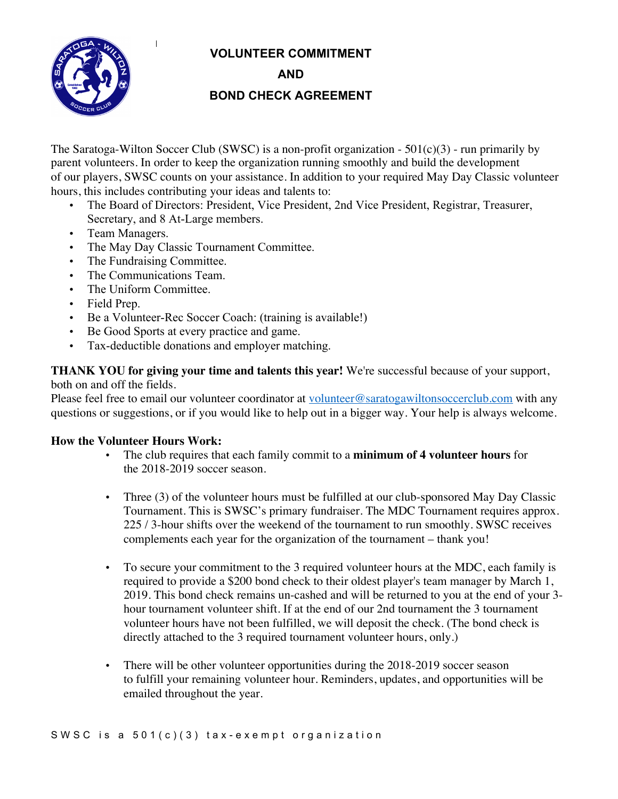**VOLUNTEER COMMITMENT**



**AND BOND CHECK AGREEMENT**

The Saratoga-Wilton Soccer Club (SWSC) is a non-profit organization -  $501(c)(3)$  - run primarily by parent volunteers. In order to keep the organization running smoothly and build the development of our players, SWSC counts on your assistance. In addition to your required May Day Classic volunteer hours, this includes contributing your ideas and talents to:

- The Board of Directors: President, Vice President, 2nd Vice President, Registrar, Treasurer, Secretary, and 8 At-Large members.
- Team Managers.
- The May Day Classic Tournament Committee.
- The Fundraising Committee.

 $\mathbf{I}$ 

- The Communications Team.
- The Uniform Committee.
- Field Prep.
- Be a Volunteer-Rec Soccer Coach: (training is available!)
- Be Good Sports at every practice and game.
- Tax-deductible donations and employer matching.

**THANK YOU for giving your time and talents this year!** We're successful because of your support, both on and off the fields.

Please feel free to email our volunteer coordinator at volunteer@saratogawiltonsoccerclub.com with any questions or suggestions, or if you would like to help out in a bigger way. Your help is always welcome.

## **How the Volunteer Hours Work:**

- The club requires that each family commit to a **minimum of 4 volunteer hours** for the 2018-2019 soccer season.
- Three (3) of the volunteer hours must be fulfilled at our club-sponsored May Day Classic Tournament. This is SWSC's primary fundraiser. The MDC Tournament requires approx. 225 / 3-hour shifts over the weekend of the tournament to run smoothly. SWSC receives complements each year for the organization of the tournament – thank you!
- To secure your commitment to the 3 required volunteer hours at the MDC, each family is required to provide a \$200 bond check to their oldest player's team manager by March 1, 2019. This bond check remains un-cashed and will be returned to you at the end of your 3 hour tournament volunteer shift. If at the end of our 2nd tournament the 3 tournament volunteer hours have not been fulfilled, we will deposit the check. (The bond check is directly attached to the 3 required tournament volunteer hours, only.)
- There will be other volunteer opportunities during the 2018-2019 soccer season to fulfill your remaining volunteer hour. Reminders, updates, and opportunities will be emailed throughout the year.